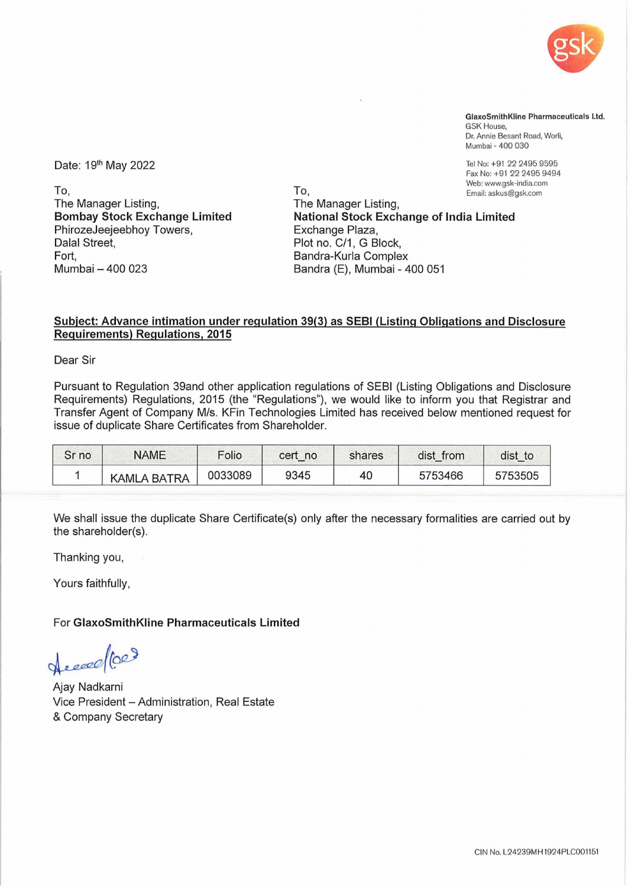

**GlaxoSmithKline Pharmaceuticals Ltd.**  GSK House, Dr. Annie Besant Road, Worli, Mumbai - 400 030

Tel No: +91 22 2495 9595 Fax No: +91 22 2495 9494 Web: www.gsk-india.com

Date: 19th May 2022

To, The Manager Listing, **Bombay Stock Exchange Limited**  PhirozeJeejeebhoy Towers, Dalal Street, Fort, Mumbai - 400 023

**TO,** Email: askus@gsk.com The Manager Listing, **National Stock Exchange of India Limited**  Exchange Plaza, Plot no. C/1, G Block, Bandra-Kurla Complex Sandra (E), Mumbai - 400 051

## **Subject: Advance intimation under regulation 39(3) as SEBI (Listing Obligations and Disclosure Requirements) Regulations, 2015**

Dear Sir

Pursuant to Regulation 39and other application regulations of SEBI (Listing Obligations and Disclosure Requirements) Regulations, 2015 (the "Regulations"), we would like to inform you that Registrar and Transfer Agent of Company M/s. KFin Technologies Limited has received below mentioned request for issue of duplicate Share Certificates from Shareholder.

| Sr no | <b>NAME</b>        | Folio   | cert<br>no | shares | dist from | dist to |
|-------|--------------------|---------|------------|--------|-----------|---------|
|       | <b>KAMLA BATRA</b> | 0033089 | 9345       | 40     | 5753466   | 5753505 |

We shall issue the duplicate Share Certificate(s) only after the necessary formalities are carried out by the shareholder(s).

Thanking you,

Yours faithfully,

## For **GlaxoSmithKline Pharmaceuticals Limited**

Accord (02)

Ajay Nadkarni Vice President - Administration, Real Estate & Company Secretary